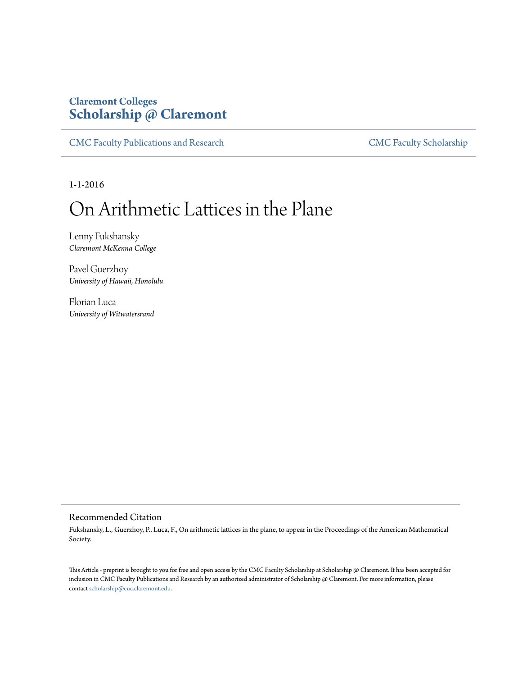# **Claremont Colleges [Scholarship @ Claremont](http://scholarship.claremont.edu)**

[CMC Faculty Publications and Research](http://scholarship.claremont.edu/cmc_fac_pub) [CMC Faculty Scholarship](http://scholarship.claremont.edu/cmc_faculty)

1-1-2016

# On Arithmetic Lattices in the Plane

Lenny Fukshansky *Claremont McKenna College*

Pavel Guerzhoy *University of Hawaii, Honolulu*

Florian Luca *University of Witwatersrand*

# Recommended Citation

Fukshansky, L., Guerzhoy, P., Luca, F., On arithmetic lattices in the plane, to appear in the Proceedings of the American Mathematical Society.

This Article - preprint is brought to you for free and open access by the CMC Faculty Scholarship at Scholarship @ Claremont. It has been accepted for inclusion in CMC Faculty Publications and Research by an authorized administrator of Scholarship @ Claremont. For more information, please contact [scholarship@cuc.claremont.edu](mailto:scholarship@cuc.claremont.edu).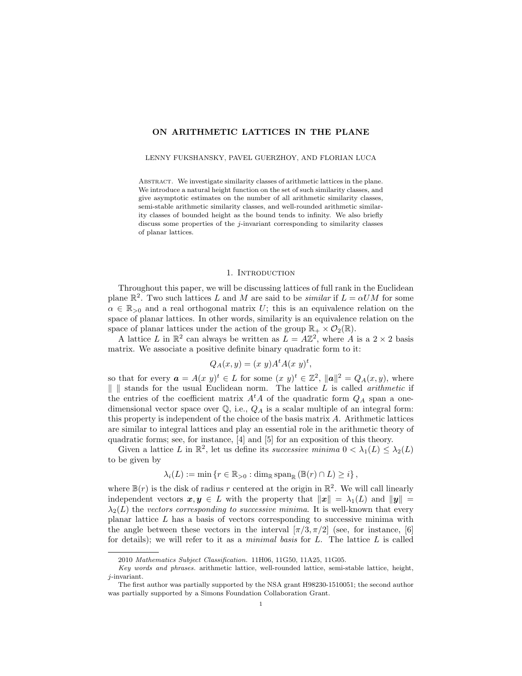## ON ARITHMETIC LATTICES IN THE PLANE

#### LENNY FUKSHANSKY, PAVEL GUERZHOY, AND FLORIAN LUCA

ABSTRACT. We investigate similarity classes of arithmetic lattices in the plane. We introduce a natural height function on the set of such similarity classes, and give asymptotic estimates on the number of all arithmetic similarity classes, semi-stable arithmetic similarity classes, and well-rounded arithmetic similarity classes of bounded height as the bound tends to infinity. We also briefly discuss some properties of the j-invariant corresponding to similarity classes of planar lattices.

## 1. INTRODUCTION

<span id="page-1-0"></span>Throughout this paper, we will be discussing lattices of full rank in the Euclidean plane  $\mathbb{R}^2$ . Two such lattices L and M are said to be *similar* if  $L = \alpha U M$  for some  $\alpha \in \mathbb{R}_{\geq 0}$  and a real orthogonal matrix U; this is an equivalence relation on the space of planar lattices. In other words, similarity is an equivalence relation on the space of planar lattices under the action of the group  $\mathbb{R}_+ \times \mathcal{O}_2(\mathbb{R})$ .

A lattice L in  $\mathbb{R}^2$  can always be written as  $\overline{L} = \overline{A}\mathbb{Z}^2$ , where  $\overline{A}$  is a  $2 \times 2$  basis matrix. We associate a positive definite binary quadratic form to it:

$$
Q_A(x,y) = (x\ y)A^t A(x\ y)^t,
$$

so that for every  $\mathbf{a} = A(x, y)^t \in L$  for some  $(x, y)^t \in \mathbb{Z}^2$ ,  $\|\mathbf{a}\|^2 = Q_A(x, y)$ , where  $\| \|\$  stands for the usual Euclidean norm. The lattice L is called *arithmetic* if the entries of the coefficient matrix  $A<sup>t</sup>A$  of the quadratic form  $Q_A$  span a onedimensional vector space over  $\mathbb{Q}$ , i.e.,  $Q_A$  is a scalar multiple of an integral form: this property is independent of the choice of the basis matrix A. Arithmetic lattices are similar to integral lattices and play an essential role in the arithmetic theory of quadratic forms; see, for instance, [\[4\]](#page-13-0) and [\[5\]](#page-13-1) for an exposition of this theory.

Given a lattice L in  $\mathbb{R}^2$ , let us define its successive minima  $0 < \lambda_1(L) \leq \lambda_2(L)$ to be given by

$$
\lambda_i(L) := \min \left\{ r \in \mathbb{R}_{>0} : \dim_{\mathbb{R}} \operatorname{span}_{\mathbb{R}} \left( \mathbb{B}(r) \cap L \right) \geq i \right\},\,
$$

where  $\mathbb{B}(r)$  is the disk of radius r centered at the origin in  $\mathbb{R}^2$ . We will call linearly independent vectors  $x, y \in L$  with the property that  $||x|| = \lambda_1(L)$  and  $||y|| =$  $\lambda_2(L)$  the vectors corresponding to successive minima. It is well-known that every planar lattice  $L$  has a basis of vectors corresponding to successive minima with the angle between these vectors in the interval  $[\pi/3, \pi/2]$  (see, for instance, [\[6\]](#page-13-2) for details); we will refer to it as a *minimal basis* for  $L$ . The lattice  $L$  is called

<sup>2010</sup> Mathematics Subject Classification. 11H06, 11G50, 11A25, 11G05.

Key words and phrases. arithmetic lattice, well-rounded lattice, semi-stable lattice, height, j-invariant.

The first author was partially supported by the NSA grant H98230-1510051; the second author was partially supported by a Simons Foundation Collaboration Grant.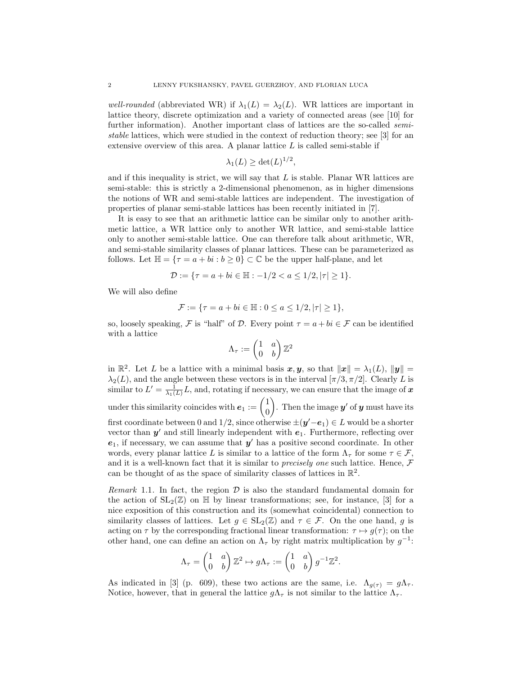well-rounded (abbreviated WR) if  $\lambda_1(L) = \lambda_2(L)$ . WR lattices are important in lattice theory, discrete optimization and a variety of connected areas (see [\[10\]](#page-13-3) for further information). Another important class of lattices are the so-called *semi*stable lattices, which were studied in the context of reduction theory; see [\[3\]](#page-13-4) for an extensive overview of this area. A planar lattice  $L$  is called semi-stable if

$$
\lambda_1(L) \ge \det(L)^{1/2}
$$

,

and if this inequality is strict, we will say that  $L$  is stable. Planar WR lattices are semi-stable: this is strictly a 2-dimensional phenomenon, as in higher dimensions the notions of WR and semi-stable lattices are independent. The investigation of properties of planar semi-stable lattices has been recently initiated in [\[7\]](#page-13-5).

It is easy to see that an arithmetic lattice can be similar only to another arithmetic lattice, a WR lattice only to another WR lattice, and semi-stable lattice only to another semi-stable lattice. One can therefore talk about arithmetic, WR, and semi-stable similarity classes of planar lattices. These can be parameterized as follows. Let  $\mathbb{H} = \{ \tau = a + bi : b \geq 0 \} \subset \mathbb{C}$  be the upper half-plane, and let

$$
\mathcal{D} := \{ \tau = a + bi \in \mathbb{H} : -1/2 < a \le 1/2, |\tau| \ge 1 \}.
$$

We will also define

$$
\mathcal{F} := \{ \tau = a + bi \in \mathbb{H} : 0 \le a \le 1/2, |\tau| \ge 1 \},\
$$

so, loosely speaking, F is "half" of D. Every point  $\tau = a + bi \in \mathcal{F}$  can be identified with a lattice

$$
\Lambda_\tau:=\begin{pmatrix}1&a\\0&b\end{pmatrix}\mathbb{Z}^2
$$

in  $\mathbb{R}^2$ . Let L be a lattice with a minimal basis  $x, y$ , so that  $||x|| = \lambda_1(L)$ ,  $||y|| =$  $\lambda_2(L)$ , and the angle between these vectors is in the interval  $[\pi/3, \pi/2]$ . Clearly L is similar to  $L' = \frac{1}{\lambda_1(L)} L$ , and, rotating if necessary, we can ensure that the image of  $\boldsymbol{x}$ under this similarity coincides with  $e_1 := \begin{pmatrix} 1 \\ 0 \end{pmatrix}$  $\overline{0}$ ). Then the image  $y'$  of y must have its first coordinate between 0 and 1/2, since otherwise  $\pm(\mathbf{y}'- \mathbf{e}_1) \in L$  would be a shorter vector than  $y'$  and still linearly independent with  $e_1$ . Furthermore, reflecting over  $e_1$ , if necessary, we can assume that  $y'$  has a positive second coordinate. In other words, every planar lattice L is similar to a lattice of the form  $\Lambda_{\tau}$  for some  $\tau \in \mathcal{F}$ , and it is a well-known fact that it is similar to *precisely one* such lattice. Hence,  $\mathcal F$ can be thought of as the space of similarity classes of lattices in  $\mathbb{R}^2$ .

<span id="page-2-0"></span>*Remark* 1.1. In fact, the region  $\mathcal{D}$  is also the standard fundamental domain for the action of  $SL_2(\mathbb{Z})$  on  $\mathbb{H}$  by linear transformations; see, for instance, [\[3\]](#page-13-4) for a nice exposition of this construction and its (somewhat coincidental) connection to similarity classes of lattices. Let  $g \in SL_2(\mathbb{Z})$  and  $\tau \in \mathcal{F}$ . On the one hand, g is acting on  $\tau$  by the corresponding fractional linear transformation:  $\tau \mapsto g(\tau)$ ; on the other hand, one can define an action on  $\Lambda_{\tau}$  by right matrix multiplication by  $g^{-1}$ :

$$
\Lambda_{\tau} = \begin{pmatrix} 1 & a \\ 0 & b \end{pmatrix} \mathbb{Z}^2 \mapsto g\Lambda_{\tau} := \begin{pmatrix} 1 & a \\ 0 & b \end{pmatrix} g^{-1} \mathbb{Z}^2.
$$

As indicated in [\[3\]](#page-13-4) (p. 609), these two actions are the same, i.e.  $\Lambda_{g(\tau)} = g\Lambda_{\tau}$ . Notice, however, that in general the lattice  $g\Lambda_{\tau}$  is not similar to the lattice  $\Lambda_{\tau}$ .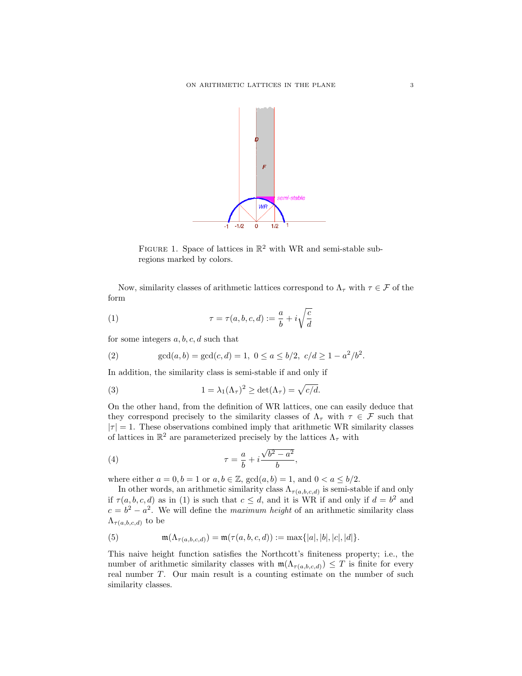

<span id="page-3-0"></span>FIGURE 1. Space of lattices in  $\mathbb{R}^2$  with WR and semi-stable subregions marked by colors.

Now, similarity classes of arithmetic lattices correspond to  $\Lambda_{\tau}$  with  $\tau \in \mathcal{F}$  of the form

(1) 
$$
\tau = \tau(a, b, c, d) := \frac{a}{b} + i\sqrt{\frac{c}{d}}
$$

for some integers  $a, b, c, d$  such that

(2) 
$$
\gcd(a,b) = \gcd(c,d) = 1, \ 0 \le a \le b/2, \ c/d \ge 1 - a^2/b^2.
$$

In addition, the similarity class is semi-stable if and only if

(3) 
$$
1 = \lambda_1(\Lambda_\tau)^2 \ge \det(\Lambda_\tau) = \sqrt{c/d}.
$$

On the other hand, from the definition of WR lattices, one can easily deduce that they correspond precisely to the similarity classes of  $\Lambda_{\tau}$  with  $\tau \in \mathcal{F}$  such that  $|\tau| = 1$ . These observations combined imply that arithmetic WR similarity classes of lattices in  $\mathbb{R}^2$  are parameterized precisely by the lattices  $\Lambda_\tau$  with

<span id="page-3-1"></span>(4) 
$$
\tau = \frac{a}{b} + i \frac{\sqrt{b^2 - a^2}}{b},
$$

where either  $a = 0, b = 1$  or  $a, b \in \mathbb{Z}$ ,  $gcd(a, b) = 1$ , and  $0 < a \le b/2$ .

In other words, an arithmetic similarity class  $\Lambda_{\tau(a,b,c,d)}$  is semi-stable if and only if  $\tau(a, b, c, d)$  as in [\(1\)](#page-3-0) is such that  $c \leq d$ , and it is WR if and only if  $d = b^2$  and  $c = b^2 - a^2$ . We will define the *maximum height* of an arithmetic similarity class  $\Lambda_{\tau(a,b,c,d)}$  to be

<span id="page-3-2"></span>(5) 
$$
\mathfrak{m}(\Lambda_{\tau(a,b,c,d)}) = \mathfrak{m}(\tau(a,b,c,d)) := \max\{|a|, |b|, |c|, |d|\}.
$$

This naive height function satisfies the Northcott's finiteness property; i.e., the number of arithmetic similarity classes with  $m(\Lambda_{\tau(a,b,c,d)}) \leq T$  is finite for every real number T. Our main result is a counting estimate on the number of such similarity classes.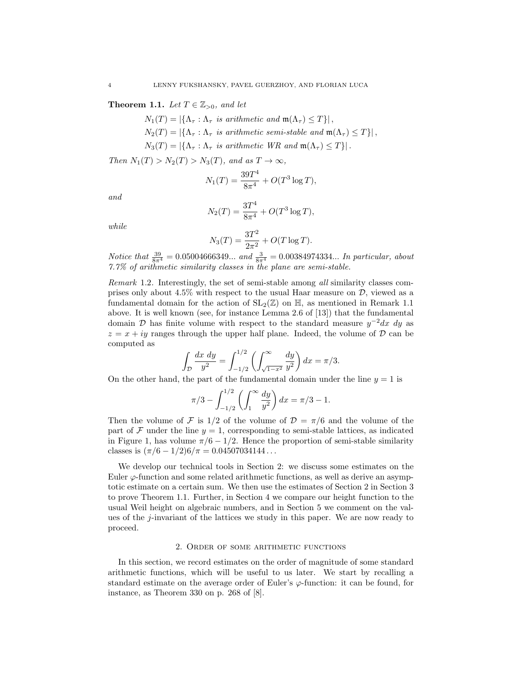<span id="page-4-1"></span>**Theorem 1.1.** Let  $T \in \mathbb{Z}_{>0}$ , and let

 $N_1(T) = |\{\Lambda_\tau : \Lambda_\tau \text{ is arithmetic and } \mathfrak{m}(\Lambda_\tau) \leq T\}|,$  $N_2(T) = |\{\Lambda_\tau : \Lambda_\tau \text{ is arithmetic semi-stable and } \mathfrak{m}(\Lambda_\tau) \leq T\}|,$  $N_3(T) = |\{\Lambda_\tau : \Lambda_\tau \text{ is arithmetic WR and } \mathfrak{m}(\Lambda_\tau) \leq T\}|.$ 

Then  $N_1(T) > N_2(T) > N_3(T)$ , and as  $T \to \infty$ ,

$$
N_1(T) = \frac{39T^4}{8\pi^4} + O(T^3 \log T),
$$

and

$$
N_2(T) = \frac{3T^4}{8\pi^4} + O(T^3 \log T),
$$

while

$$
N_3(T) = \frac{3T^2}{2\pi^2} + O(T \log T).
$$

Notice that  $\frac{39}{8\pi^4} = 0.05004666349...$  and  $\frac{3}{8\pi^4} = 0.00384974334...$  In particular, about 7.7% of arithmetic similarity classes in the plane are semi-stable.

Remark 1.2. Interestingly, the set of semi-stable among all similarity classes comprises only about 4.5% with respect to the usual Haar measure on  $D$ , viewed as a fundamental domain for the action of  $SL_2(\mathbb{Z})$  on  $\mathbb{H}$ , as mentioned in Remark [1.1](#page-2-0) above. It is well known (see, for instance Lemma 2.6 of [\[13\]](#page-13-6)) that the fundamental domain D has finite volume with respect to the standard measure  $y^{-2}dx dy$  as  $z = x + iy$  ranges through the upper half plane. Indeed, the volume of  $D$  can be computed as

$$
\int_{\mathcal{D}} \frac{dx \, dy}{y^2} = \int_{-1/2}^{1/2} \left( \int_{\sqrt{1-x^2}}^{\infty} \frac{dy}{y^2} \right) dx = \pi/3.
$$

On the other hand, the part of the fundamental domain under the line  $y = 1$  is

$$
\pi/3 - \int_{-1/2}^{1/2} \left( \int_{1}^{\infty} \frac{dy}{y^2} \right) dx = \pi/3 - 1.
$$

Then the volume of F is  $1/2$  of the volume of  $\mathcal{D} = \pi/6$  and the volume of the part of  $\mathcal F$  under the line  $y = 1$ , corresponding to semi-stable lattices, as indicated in Figure 1, has volume  $\pi/6 - 1/2$ . Hence the proportion of semi-stable similarity classes is  $(\pi/6 - 1/2)6/\pi = 0.04507034144...$ 

We develop our technical tools in Section [2:](#page-4-0) we discuss some estimates on the Euler  $\varphi$ -function and some related arithmetic functions, as well as derive an asymptotic estimate on a certain sum. We then use the estimates of Section [2](#page-4-0) in Section [3](#page-7-0) to prove Theorem [1.1.](#page-4-1) Further, in Section [4](#page-9-0) we compare our height function to the usual Weil height on algebraic numbers, and in Section [5](#page-11-0) we comment on the values of the j-invariant of the lattices we study in this paper. We are now ready to proceed.

#### 2. Order of some arithmetic functions

<span id="page-4-0"></span>In this section, we record estimates on the order of magnitude of some standard arithmetic functions, which will be useful to us later. We start by recalling a standard estimate on the average order of Euler's  $\varphi$ -function: it can be found, for instance, as Theorem 330 on p. 268 of [\[8\]](#page-13-7).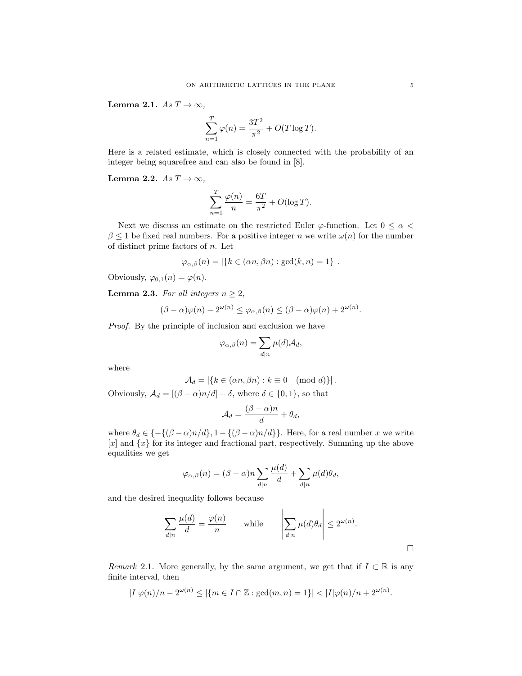<span id="page-5-1"></span>Lemma 2.1.  $As T \rightarrow \infty$ ,

$$
\sum_{n=1}^{T} \varphi(n) = \frac{3T^2}{\pi^2} + O(T \log T).
$$

Here is a related estimate, which is closely connected with the probability of an integer being squarefree and can also be found in [\[8\]](#page-13-7).

<span id="page-5-2"></span>Lemma 2.2.  $As T \rightarrow \infty$ ,

$$
\sum_{n=1}^{T} \frac{\varphi(n)}{n} = \frac{6T}{\pi^2} + O(\log T).
$$

Next we discuss an estimate on the restricted Euler  $\varphi$ -function. Let  $0 \leq \alpha$  $\beta \leq 1$  be fixed real numbers. For a positive integer n we write  $\omega(n)$  for the number of distinct prime factors of  $n$ . Let

$$
\varphi_{\alpha,\beta}(n) = |\{k \in (\alpha n, \beta n) : \gcd(k,n) = 1\}|.
$$

Obviously,  $\varphi_{0,1}(n) = \varphi(n)$ .

<span id="page-5-0"></span>**Lemma 2.3.** For all integers  $n \geq 2$ ,

$$
(\beta - \alpha)\varphi(n) - 2^{\omega(n)} \le \varphi_{\alpha,\beta}(n) \le (\beta - \alpha)\varphi(n) + 2^{\omega(n)}.
$$

Proof. By the principle of inclusion and exclusion we have

$$
\varphi_{\alpha,\beta}(n) = \sum_{d|n} \mu(d) \mathcal{A}_d,
$$

where

$$
\mathcal{A}_d = |\{k \in (\alpha n, \beta n) : k \equiv 0 \pmod{d}\}|.
$$

Obviously,  $A_d = [(\beta - \alpha)n/d] + \delta$ , where  $\delta \in \{0, 1\}$ , so that

$$
\mathcal{A}_d = \frac{(\beta - \alpha)n}{d} + \theta_d,
$$

where  $\theta_d \in \{-\{(\beta-\alpha)n/d\}, 1-\{(\beta-\alpha)n/d\}\}\.$  Here, for a real number x we write  $[x]$  and  $\{x\}$  for its integer and fractional part, respectively. Summing up the above equalities we get

$$
\varphi_{\alpha,\beta}(n) = (\beta - \alpha)n \sum_{d|n} \frac{\mu(d)}{d} + \sum_{d|n} \mu(d)\theta_d,
$$

and the desired inequality follows because

$$
\sum_{d|n} \frac{\mu(d)}{d} = \frac{\varphi(n)}{n} \quad \text{while} \quad \left| \sum_{d|n} \mu(d)\theta_d \right| \le 2^{\omega(n)}.
$$

Remark 2.1. More generally, by the same argument, we get that if  $I \subset \mathbb{R}$  is any finite interval, then

$$
|I|\varphi(n)/n - 2^{\omega(n)} \leq |\{m \in I \cap \mathbb{Z} : \gcd(m, n) = 1\}| < |I|\varphi(n)/n + 2^{\omega(n)}.
$$

 $\Box$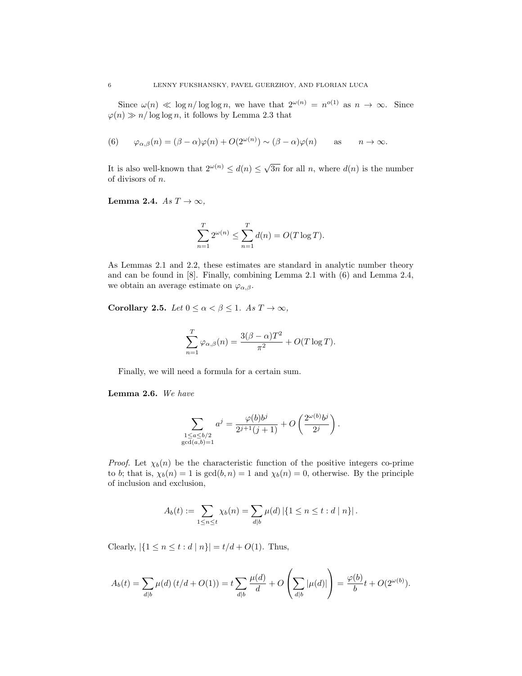Since  $\omega(n) \ll \log n / \log \log n$ , we have that  $2^{\omega(n)} = n^{o(1)}$  as  $n \to \infty$ . Since  $\varphi(n) \gg n/\log \log n$ , it follows by Lemma [2.3](#page-5-0) that

<span id="page-6-0"></span>(6) 
$$
\varphi_{\alpha,\beta}(n) = (\beta - \alpha)\varphi(n) + O(2^{\omega(n)}) \sim (\beta - \alpha)\varphi(n)
$$
 as  $n \to \infty$ .

It is also well-known that  $2^{\omega(n)} \leq d(n) \leq \sqrt{n}$ 3n for all n, where  $d(n)$  is the number of divisors of n.

<span id="page-6-1"></span>Lemma 2.4.  $As T \rightarrow \infty$ ,

$$
\sum_{n=1}^{T} 2^{\omega(n)} \le \sum_{n=1}^{T} d(n) = O(T \log T).
$$

As Lemmas [2.1](#page-5-1) and [2.2,](#page-5-2) these estimates are standard in analytic number theory and can be found in [\[8\]](#page-13-7). Finally, combining Lemma [2.1](#page-5-1) with [\(6\)](#page-6-0) and Lemma [2.4,](#page-6-1) we obtain an average estimate on  $\varphi_{\alpha,\beta}$ .

Corollary 2.5. Let  $0 \leq \alpha < \beta \leq 1$ . As  $T \to \infty$ ,

$$
\sum_{n=1}^{T} \varphi_{\alpha,\beta}(n) = \frac{3(\beta - \alpha)T^2}{\pi^2} + O(T \log T).
$$

Finally, we will need a formula for a certain sum.

<span id="page-6-2"></span>Lemma 2.6. We have

$$
\sum_{\substack{1 \le a \le b/2 \\ \gcd(a,b)=1}} a^j = \frac{\varphi(b)b^j}{2^{j+1}(j+1)} + O\left(\frac{2^{\omega(b)}b^j}{2^j}\right).
$$

*Proof.* Let  $\chi_b(n)$  be the characteristic function of the positive integers co-prime to b; that is,  $\chi_b(n) = 1$  is  $gcd(b, n) = 1$  and  $\chi_b(n) = 0$ , otherwise. By the principle of inclusion and exclusion,

$$
A_b(t) := \sum_{1 \le n \le t} \chi_b(n) = \sum_{d \mid b} \mu(d) |\{1 \le n \le t : d \mid n\}|.
$$

Clearly,  $|\{1 \le n \le t : d \mid n\}| = t/d + O(1)$ . Thus,

$$
A_b(t) = \sum_{d|b} \mu(d) (t/d + O(1)) = t \sum_{d|b} \frac{\mu(d)}{d} + O\left(\sum_{d|b} |\mu(d)|\right) = \frac{\varphi(b)}{b}t + O(2^{\omega(b)}).
$$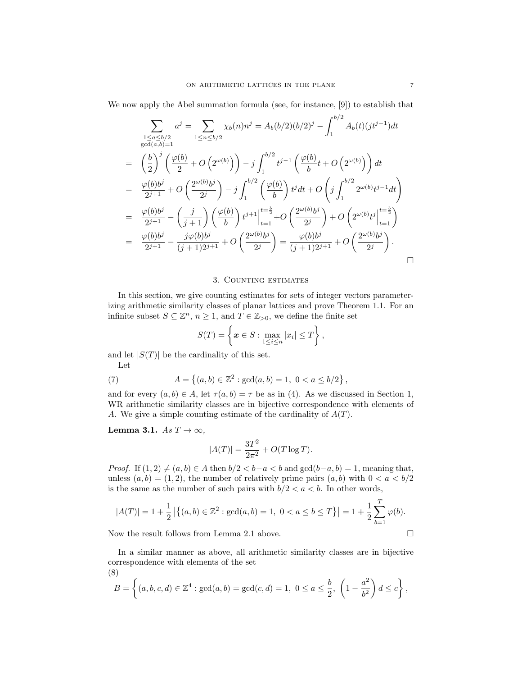We now apply the Abel summation formula (see, for instance, [\[9\]](#page-13-8)) to establish that

$$
\sum_{\substack{1 \le a \le b/2 \\ \gcd(a,b)=1}} a^j = \sum_{1 \le n \le b/2} \chi_b(n) n^j = A_b(b/2)(b/2)^j - \int_1^{b/2} A_b(t)(jt^{j-1}) dt
$$
  
\n
$$
= \left(\frac{b}{2}\right)^j \left(\frac{\varphi(b)}{2} + O\left(2^{\omega(b)}\right)\right) - j \int_1^{b/2} t^{j-1} \left(\frac{\varphi(b)}{b}t + O\left(2^{\omega(b)}\right)\right) dt
$$
  
\n
$$
= \frac{\varphi(b)b^j}{2^{j+1}} + O\left(\frac{2^{\omega(b)}b^j}{2^j}\right) - j \int_1^{b/2} \left(\frac{\varphi(b)}{b}\right) t^j dt + O\left(j \int_1^{b/2} 2^{\omega(b)} t^{j-1} dt\right)
$$
  
\n
$$
= \frac{\varphi(b)b^j}{2^{j+1}} - \left(\frac{j}{j+1}\right) \left(\frac{\varphi(b)}{b}\right) t^{j+1} \Big|_{t=1}^{t=\frac{b}{2}} + O\left(\frac{2^{\omega(b)}b^j}{2^j}\right) + O\left(2^{\omega(b)} t^j \Big|_{t=1}^{t=\frac{b}{2}}\right)
$$
  
\n
$$
= \frac{\varphi(b)b^j}{2^{j+1}} - \frac{j\varphi(b)b^j}{(j+1)2^{j+1}} + O\left(\frac{2^{\omega(b)}b^j}{2^j}\right) = \frac{\varphi(b)b^j}{(j+1)2^{j+1}} + O\left(\frac{2^{\omega(b)}b^j}{2^j}\right).
$$

#### 3. Counting estimates

<span id="page-7-0"></span>In this section, we give counting estimates for sets of integer vectors parameterizing arithmetic similarity classes of planar lattices and prove Theorem [1.1.](#page-4-1) For an infinite subset  $S \subseteq \mathbb{Z}^n$ ,  $n \geq 1$ , and  $T \in \mathbb{Z}_{>0}$ , we define the finite set

$$
S(T) = \left\{ \boldsymbol{x} \in S : \max_{1 \leq i \leq n} |x_i| \leq T \right\},\
$$

and let  $|S(T)|$  be the cardinality of this set. Let

(7) 
$$
A = \{(a, b) \in \mathbb{Z}^2 : \gcd(a, b) = 1, \ 0 < a \leq b/2\},
$$

and for every  $(a, b) \in A$ , let  $\tau(a, b) = \tau$  be as in [\(4\)](#page-3-1). As we discussed in Section [1,](#page-1-0) WR arithmetic similarity classes are in bijective correspondence with elements of A. We give a simple counting estimate of the cardinality of  $A(T)$ .

<span id="page-7-2"></span>Lemma 3.1. As  $T \to \infty$ ,

$$
|A(T)| = \frac{3T^2}{2\pi^2} + O(T \log T).
$$

*Proof.* If  $(1, 2) \neq (a, b) \in A$  then  $b/2 < b-a < b$  and  $gcd(b-a, b) = 1$ , meaning that, unless  $(a, b) = (1, 2)$ , the number of relatively prime pairs  $(a, b)$  with  $0 < a < b/2$ is the same as the number of such pairs with  $b/2 < a < b$ . In other words,

$$
|A(T)| = 1 + \frac{1}{2} |\{(a, b) \in \mathbb{Z}^2 : \gcd(a, b) = 1, \ 0 < a \le b \le T\}| = 1 + \frac{1}{2} \sum_{b=1}^T \varphi(b).
$$

Now the result follows from Lemma [2.1](#page-5-1) above.

In a similar manner as above, all arithmetic similarity classes are in bijective correspondence with elements of the set

<span id="page-7-1"></span>(8)  
\n
$$
B = \left\{ (a, b, c, d) \in \mathbb{Z}^4 : \gcd(a, b) = \gcd(c, d) = 1, \ 0 \le a \le \frac{b}{2}, \ \left( 1 - \frac{a^2}{b^2} \right) d \le c \right\},\
$$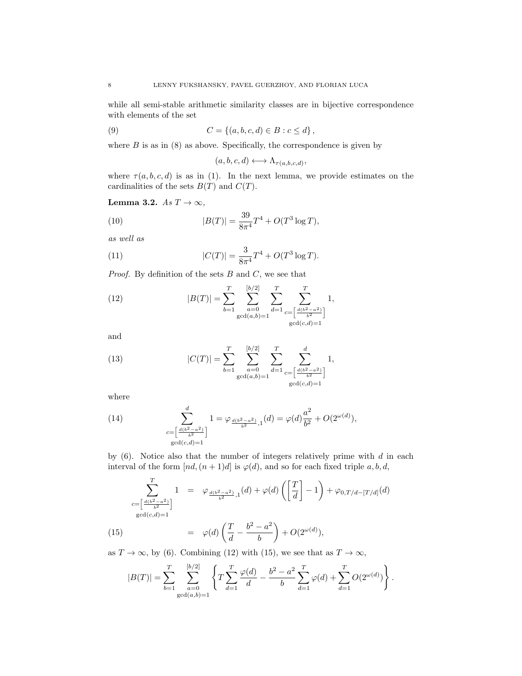while all semi-stable arithmetic similarity classes are in bijective correspondence with elements of the set

(9) 
$$
C = \{(a, b, c, d) \in B : c \leq d\},\
$$

where  $B$  is as in  $(8)$  as above. Specifically, the correspondence is given by

<span id="page-8-5"></span><span id="page-8-4"></span>
$$
(a, b, c, d) \longleftrightarrow \Lambda_{\tau(a, b, c, d)},
$$

where  $\tau(a, b, c, d)$  is as in [\(1\)](#page-3-0). In the next lemma, we provide estimates on the cardinalities of the sets  $B(T)$  and  $C(T)$ .

<span id="page-8-6"></span>Lemma 3.2.  $As T \rightarrow \infty$ ,

(10) 
$$
|B(T)| = \frac{39}{8\pi^4}T^4 + O(T^3\log T),
$$

as well as

(11) 
$$
|C(T)| = \frac{3}{8\pi^4}T^4 + O(T^3\log T).
$$

*Proof.* By definition of the sets  $B$  and  $C$ , we see that

<span id="page-8-0"></span>(12) 
$$
|B(T)| = \sum_{b=1}^{T} \sum_{\substack{a=0 \ \gcd(a,b)=1}}^{\lfloor b/2 \rfloor} \sum_{d=1}^{T} \sum_{\substack{c=\left[\frac{d(b^2-a^2)}{b^2}\right] \ \gcd(c,d)=1}}^{T} 1,
$$

and

<span id="page-8-2"></span>(13) 
$$
|C(T)| = \sum_{b=1}^{T} \sum_{\substack{a=0 \text{gcd}(a,b)=1}}^{\lfloor b/2 \rfloor} \sum_{d=1}^{T} \sum_{\substack{c=\left[\frac{d(b^2-a^2)}{b^2}\right] \text{gcd}(c,d)=1}}^{d} 1,
$$

where

<span id="page-8-3"></span>(14) 
$$
\sum_{\substack{c=\left[\frac{d(b^2-a^2)}{b^2}\right] \\ \gcd(c,d)=1}}^d 1 = \varphi_{\frac{d(b^2-a^2)}{b^2},1}(d) = \varphi(d)\frac{a^2}{b^2} + O(2^{\omega(d)}),
$$

by  $(6)$ . Notice also that the number of integers relatively prime with d in each interval of the form  $[nd,(n+1)d]$  is  $\varphi(d)$ , and so for each fixed triple a, b, d,

<span id="page-8-1"></span>
$$
\sum_{\substack{c=\left[\frac{d(b^2-a^2)}{b^2}\right] \\ \gcd(c,d)=1}}^{T} 1 = \varphi_{\frac{d(b^2-a^2)}{b^2},1}(d) + \varphi(d) \left(\left[\frac{T}{d}\right] - 1\right) + \varphi_{0,T/d - [T/d]}(d)
$$
\n
$$
= \varphi(d) \left(\frac{T}{d} - \frac{b^2 - a^2}{b}\right) + O(2^{\omega(d)}),
$$

as  $T \to \infty$ , by [\(6\)](#page-6-0). Combining [\(12\)](#page-8-0) with [\(15\)](#page-8-1), we see that as  $T \to \infty$ ,

$$
|B(T)| = \sum_{b=1}^{T} \sum_{\substack{a=0 \ \gcd(a,b)=1}}^{[b/2]} \left\{ T \sum_{d=1}^{T} \frac{\varphi(d)}{d} - \frac{b^2 - a^2}{b} \sum_{d=1}^{T} \varphi(d) + \sum_{d=1}^{T} O(2^{\omega(d)}) \right\}.
$$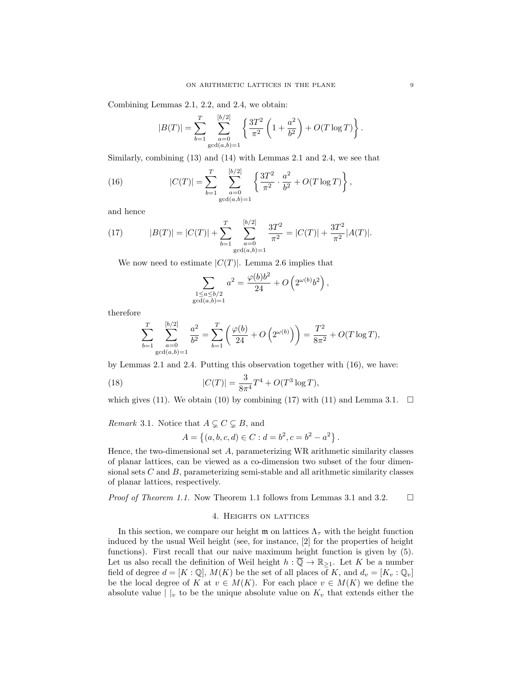Combining Lemmas [2.1,](#page-5-1) [2.2,](#page-5-2) and [2.4,](#page-6-1) we obtain:

<span id="page-9-1"></span>
$$
|B(T)| = \sum_{b=1}^{T} \sum_{\substack{a=0 \ \gcd(a,b)=1}}^{[b/2]} \left\{ \frac{3T^2}{\pi^2} \left( 1 + \frac{a^2}{b^2} \right) + O(T \log T) \right\}.
$$

Similarly, combining [\(13\)](#page-8-2) and [\(14\)](#page-8-3) with Lemmas [2.1](#page-5-1) and [2.4,](#page-6-1) we see that

(16) 
$$
|C(T)| = \sum_{b=1}^{T} \sum_{\substack{a=0 \ \gcd(a,b)=1}}^{\lfloor b/2 \rfloor} \left\{ \frac{3T^2}{\pi^2} \cdot \frac{a^2}{b^2} + O(T \log T) \right\},
$$

and hence

<span id="page-9-2"></span>(17) 
$$
|B(T)| = |C(T)| + \sum_{b=1}^{T} \sum_{\substack{a=0 \ \gcd(a,b)=1}}^{\lfloor b/2 \rfloor} \frac{3T^2}{\pi^2} = |C(T)| + \frac{3T^2}{\pi^2} |A(T)|.
$$

We now need to estimate  $|C(T)|$ . Lemma [2.6](#page-6-2) implies that

$$
\sum_{\substack{1 \leq a \leq b/2 \\ \gcd(a,b)=1}} a^2 = \frac{\varphi(b)b^2}{24} + O\left(2^{\omega(b)}b^2\right),\,
$$

therefore

$$
\sum_{b=1}^{T} \sum_{\substack{a=0 \ \gcd(a,b)=1}}^{[b/2]} \frac{a^2}{b^2} = \sum_{b=1}^{T} \left( \frac{\varphi(b)}{24} + O\left(2^{\omega(b)}\right) \right) = \frac{T^2}{8\pi^2} + O(T \log T),
$$

by Lemmas [2.1](#page-5-1) and [2.4.](#page-6-1) Putting this observation together with [\(16\)](#page-9-1), we have:

(18) 
$$
|C(T)| = \frac{3}{8\pi^4}T^4 + O(T^3\log T),
$$

which gives [\(11\)](#page-8-4). We obtain [\(10\)](#page-8-5) by combining [\(17\)](#page-9-2) with (11) and Lemma [3.1.](#page-7-2)  $\Box$ 

*Remark* 3.1. Notice that  $A \subsetneq C \subsetneq B$ , and

$$
A = \{(a, b, c, d) \in C : d = b^2, c = b^2 - a^2\}.
$$

Hence, the two-dimensional set A, parameterizing WR arithmetic similarity classes of planar lattices, can be viewed as a co-dimension two subset of the four dimensional sets  $C$  and  $B$ , parameterizing semi-stable and all arithmetic similarity classes of planar lattices, respectively.

<span id="page-9-0"></span>*Proof of Theorem [1.1.](#page-4-1)* Now Theorem [1.1](#page-4-1) follows from Lemmas [3.1](#page-7-2) and [3.2.](#page-8-6)  $\Box$ 

#### 4. Heights on lattices

In this section, we compare our height  $\mathfrak{m}$  on lattices  $\Lambda_{\tau}$  with the height function induced by the usual Weil height (see, for instance, [\[2\]](#page-13-9) for the properties of height functions). First recall that our naive maximum height function is given by [\(5\)](#page-3-2). Let us also recall the definition of Weil height  $h : \overline{Q} \to \mathbb{R}_{\geq 1}$ . Let K be a number field of degree  $d = [K : \mathbb{Q}], M(K)$  be the set of all places of K, and  $d_v = [K_v : \mathbb{Q}_v]$ be the local degree of K at  $v \in M(K)$ . For each place  $v \in M(K)$  we define the absolute value  $||_v$  to be the unique absolute value on  $K_v$  that extends either the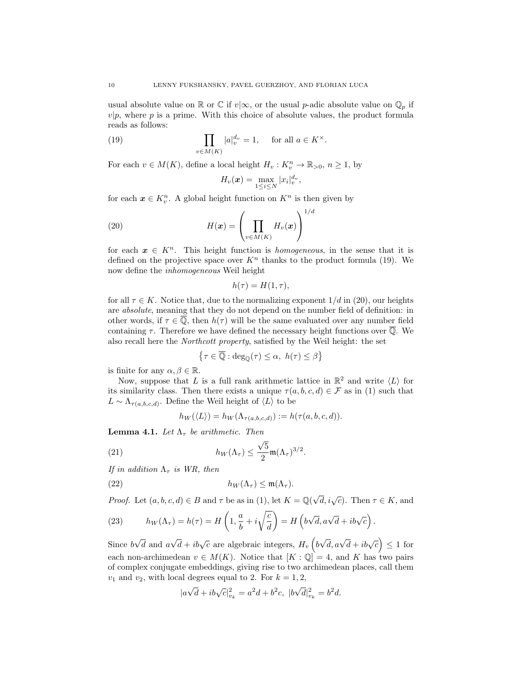usual absolute value on R or C if  $v|\infty$ , or the usual p-adic absolute value on  $\mathbb{Q}_p$  if  $v|p$ , where p is a prime. With this choice of absolute values, the product formula reads as follows:

(19) 
$$
\prod_{v \in M(K)} |a|_v^{d_v} = 1, \quad \text{for all } a \in K^{\times}.
$$

For each  $v \in M(K)$ , define a local height  $H_v: K_v^n \to \mathbb{R}_{>0}, n \geq 1$ , by

<span id="page-10-1"></span><span id="page-10-0"></span>
$$
H_v(\boldsymbol{x}) = \max_{1 \leq i \leq N} |x_i|_v^{d_v},
$$

 $\sqrt{d}$ 

for each  $x \in K_v^n$ . A global height function on  $K^n$  is then given by

(20) 
$$
H(\boldsymbol{x}) = \left(\prod_{v \in M(K)} H_v(\boldsymbol{x})\right)^1
$$

for each  $x \in K^n$ . This height function is *homogeneous*, in the sense that it is defined on the projective space over  $K<sup>n</sup>$  thanks to the product formula [\(19\)](#page-10-0). We now define the inhomogeneous Weil height

$$
h(\tau) = H(1, \tau),
$$

for all  $\tau \in K$ . Notice that, due to the normalizing exponent  $1/d$  in [\(20\)](#page-10-1), our heights are absolute, meaning that they do not depend on the number field of definition: in other words, if  $\tau \in \overline{Q}$ , then  $h(\tau)$  will be the same evaluated over any number field containing  $\tau$ . Therefore we have defined the necessary height functions over  $\overline{Q}$ . We also recall here the Northcott property, satisfied by the Weil height: the set

$$
\left\{\tau\in\overline{\mathbb{Q}}: \deg_{\mathbb{Q}}(\tau)\leq\alpha,\ h(\tau)\leq\beta\right\}
$$

is finite for any  $\alpha, \beta \in \mathbb{R}$ .

Now, suppose that L is a full rank arithmetic lattice in  $\mathbb{R}^2$  and write  $\langle L \rangle$  for its similarity class. Then there exists a unique  $\tau(a, b, c, d) \in \mathcal{F}$  as in [\(1\)](#page-3-0) such that  $L \sim \Lambda_{\tau(a,b,c,d)}$ . Define the Weil height of  $\langle L \rangle$  to be

<span id="page-10-4"></span><span id="page-10-2"></span>
$$
h_W(\langle L \rangle) = h_W(\Lambda_{\tau(a,b,c,d)}) := h(\tau(a,b,c,d)).
$$

**Lemma 4.1.** Let  $\Lambda_{\tau}$  be arithmetic. Then

(21) 
$$
h_W(\Lambda_\tau) \leq \frac{\sqrt{5}}{2} \mathfrak{m}(\Lambda_\tau)^{3/2}.
$$

If in addition  $\Lambda_{\tau}$  is WR, then

(22) 
$$
h_W(\Lambda_\tau) \leq \mathfrak{m}(\Lambda_\tau).
$$

*Proof.* Let  $(a, b, c, d) \in B$  and  $\tau$  be as in [\(1\)](#page-3-0), let  $K = \mathbb{Q}(\sqrt{d}, i\sqrt{c})$ . Then  $\tau \in K$ , and

<span id="page-10-3"></span>(23) 
$$
h_W(\Lambda_\tau) = h(\tau) = H\left(1, \frac{a}{b} + i\sqrt{\frac{c}{d}}\right) = H\left(b\sqrt{d}, a\sqrt{d} + ib\sqrt{c}\right).
$$

Since b d and a  $\sqrt{d} + ib\sqrt{c}$  are algebraic integers,  $H_v\left(b\right)$  $\sqrt{d}, a\sqrt{d}+ib\sqrt{c}$   $\leq 1$  for each non-archimedean  $v \in M(K)$ . Notice that  $[K : \mathbb{Q}] = 4$ , and K has two pairs of complex conjugate embeddings, giving rise to two archimedean places, call them  $v_1$  and  $v_2$ , with local degrees equal to 2. For  $k = 1, 2$ ,

$$
|a\sqrt{d} + ib\sqrt{c}|_{v_k}^2 = a^2d + b^2c, \ |b\sqrt{d}|_{v_k}^2 = b^2d.
$$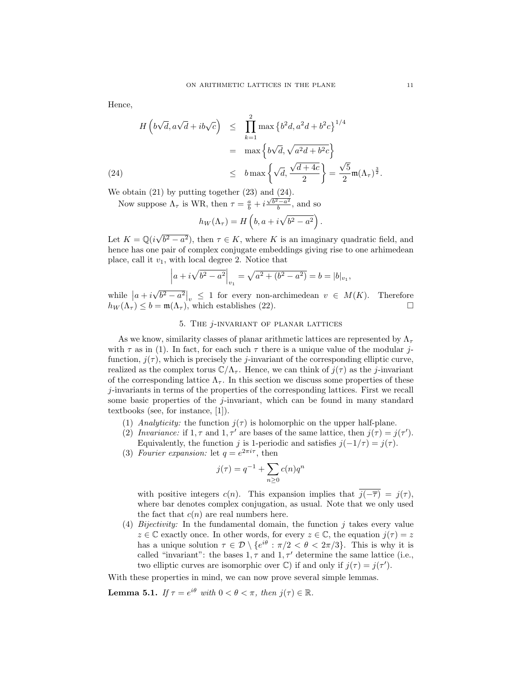Hence,

<span id="page-11-1"></span>
$$
H\left(b\sqrt{d}, a\sqrt{d} + ib\sqrt{c}\right) \leq \prod_{k=1}^{2} \max\left\{b^{2}d, a^{2}d + b^{2}c\right\}^{1/4}
$$

$$
= \max\left\{b\sqrt{d}, \sqrt{a^{2}d + b^{2}c}\right\}
$$

$$
\leq b \max\left\{\sqrt{d}, \frac{\sqrt{d + 4c}}{2}\right\} = \frac{\sqrt{5}}{2} \mathfrak{m}(\Lambda_{\tau})^{\frac{3}{2}}.
$$

We obtain [\(21\)](#page-10-2) by putting together [\(23\)](#page-10-3) and [\(24\)](#page-11-1).

Now suppose  $\Lambda_{\tau}$  is WR, then  $\tau = \frac{a}{b} + i \frac{\sqrt{b^2 - a^2}}{b}$ , and so

$$
h_W(\Lambda_{\tau}) = H\left(b, a + i\sqrt{b^2 - a^2}\right).
$$

Let  $K = \mathbb{Q}(i\sqrt{2})$  $b^2 - a^2$ , then  $\tau \in K$ , where K is an imaginary quadratic field, and hence has one pair of complex conjugate embeddings giving rise to one arhimedean place, call it  $v_1$ , with local degree 2. Notice that

$$
\left| a + i\sqrt{b^2 - a^2} \right|_{v_1} = \sqrt{a^2 + (b^2 - a^2)} = b = |b|_{v_1},
$$

while  $|a+i|$ √  $\overline{b^2-a^2}\Big|_v \leq 1$  for every non-archimedean  $v \in M(K)$ . Therefore  $h_W(\Lambda_\tau) \leq b = \mathfrak{m}(\Lambda_\tau)$ , which establishes [\(22\)](#page-10-4).

# 5. The j-invariant of planar lattices

<span id="page-11-0"></span>As we know, similarity classes of planar arithmetic lattices are represented by  $\Lambda_{\tau}$ with  $\tau$  as in [\(1\)](#page-3-0). In fact, for each such  $\tau$  there is a unique value of the modular jfunction,  $j(\tau)$ , which is precisely the j-invariant of the corresponding elliptic curve, realized as the complex torus  $\mathbb{C}/\Lambda_{\tau}$ . Hence, we can think of  $j(\tau)$  as the j-invariant of the corresponding lattice  $\Lambda_{\tau}$ . In this section we discuss some properties of these j-invariants in terms of the properties of the corresponding lattices. First we recall some basic properties of the j-invariant, which can be found in many standard textbooks (see, for instance, [\[1\]](#page-13-10)).

- (1) Analyticity: the function  $j(\tau)$  is holomorphic on the upper half-plane.
- (2) Invariance: if  $1, \tau$  and  $1, \tau'$  are bases of the same lattice, then  $j(\tau) = j(\tau')$ . Equivalently, the function j is 1-periodic and satisfies  $j(-1/\tau) = j(\tau)$ .
- (3) Fourier expansion: let  $q = e^{2\pi i \tau}$ , then

$$
j(\tau) = q^{-1} + \sum_{n \ge 0} c(n)q^n
$$

with positive integers c(n). This expansion implies that  $\overline{j(-\overline{\tau})} = j(\tau)$ , where bar denotes complex conjugation, as usual. Note that we only used the fact that  $c(n)$  are real numbers here.

(4) Bijectivity: In the fundamental domain, the function  $j$  takes every value  $z \in \mathbb{C}$  exactly once. In other words, for every  $z \in \mathbb{C}$ , the equation  $j(\tau) = z$ has a unique solution  $\tau \in \mathcal{D} \setminus \{e^{i\theta} : \pi/2 < \theta < 2\pi/3\}$ . This is why it is called "invariant": the bases  $1, \tau$  and  $1, \tau'$  determine the same lattice (i.e., two elliptic curves are isomorphic over  $\mathbb{C}$ ) if and only if  $j(\tau) = j(\tau')$ .

With these properties in mind, we can now prove several simple lemmas.

<span id="page-11-2"></span>**Lemma 5.1.** If  $\tau = e^{i\theta}$  with  $0 < \theta < \pi$ , then  $j(\tau) \in \mathbb{R}$ .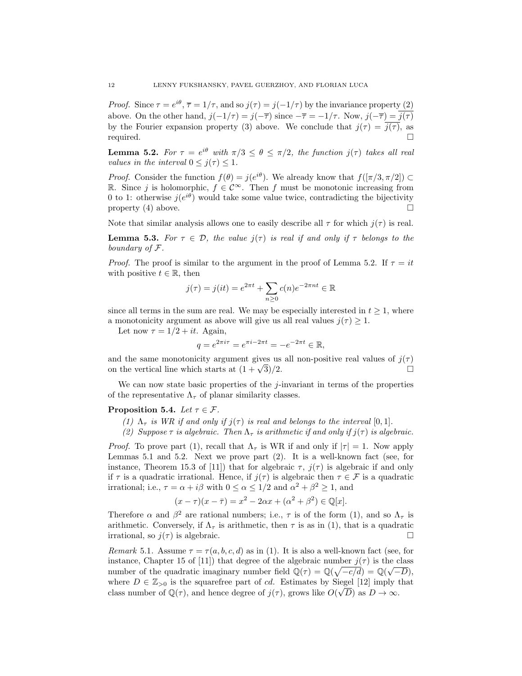*Proof.* Since  $\tau = e^{i\theta}$ ,  $\overline{\tau} = 1/\tau$ , and so  $j(\tau) = j(-1/\tau)$  by the invariance property (2) above. On the other hand,  $j(-1/\tau) = j(-\overline{\tau})$  since  $-\overline{\tau} = -1/\tau$ . Now,  $j(-\overline{\tau}) = j(\overline{\tau})$ by the Fourier expansion property (3) above. We conclude that  $j(\tau) = \overline{j(\tau)}$ , as required.

<span id="page-12-0"></span>**Lemma 5.2.** For  $\tau = e^{i\theta}$  with  $\pi/3 \le \theta \le \pi/2$ , the function  $j(\tau)$  takes all real values in the interval  $0 \leq j(\tau) \leq 1$ .

*Proof.* Consider the function  $f(\theta) = j(e^{i\theta})$ . We already know that  $f([\pi/3, \pi/2]) \subset$ R. Since *j* is holomorphic,  $f \in \mathcal{C}^\infty$ . Then *f* must be monotonic increasing from 0 to 1: otherwise  $j(e^{i\theta})$  would take some value twice, contradicting the bijectivity property (4) above.

Note that similar analysis allows one to easily describe all  $\tau$  for which  $j(\tau)$  is real.

**Lemma 5.3.** For  $\tau \in \mathcal{D}$ , the value  $j(\tau)$  is real if and only if  $\tau$  belongs to the boundary of F.

*Proof.* The proof is similar to the argument in the proof of Lemma [5.2.](#page-12-0) If  $\tau = it$ with positive  $t \in \mathbb{R}$ , then

$$
j(\tau) = j(it) = e^{2\pi t} + \sum_{n\geq 0} c(n)e^{-2\pi nt} \in \mathbb{R}
$$

since all terms in the sum are real. We may be especially interested in  $t \geq 1$ , where a monotonicity argument as above will give us all real values  $i(\tau) > 1$ .

Let now  $\tau = 1/2 + it$ . Again,

$$
q = e^{2\pi i \tau} = e^{\pi i - 2\pi t} = -e^{-2\pi t} \in \mathbb{R},
$$

and the same monotonicity argument gives us all non-positive real values of  $j(\tau)$ on the vertical line which starts at  $(1 + \sqrt{3})/2$ .  $\overline{3})/2.$ 

We can now state basic properties of the  $j$ -invariant in terms of the properties of the representative  $\Lambda_{\tau}$  of planar similarity classes.

#### Proposition 5.4. Let  $\tau \in \mathcal{F}$ .

- (1)  $\Lambda_{\tau}$  is WR if and only if  $j(\tau)$  is real and belongs to the interval [0, 1].
- (2) Suppose  $\tau$  is algebraic. Then  $\Lambda_{\tau}$  is arithmetic if and only if  $j(\tau)$  is algebraic.

*Proof.* To prove part (1), recall that  $\Lambda_{\tau}$  is WR if and only if  $|\tau| = 1$ . Now apply Lemmas [5.1](#page-11-2) and [5.2.](#page-12-0) Next we prove part (2). It is a well-known fact (see, for instance, Theorem 15.3 of [\[11\]](#page-13-11)) that for algebraic  $\tau$ ,  $j(\tau)$  is algebraic if and only if  $\tau$  is a quadratic irrational. Hence, if  $j(\tau)$  is algebraic then  $\tau \in \mathcal{F}$  is a quadratic irrational; i.e.,  $\tau = \alpha + i\beta$  with  $0 \le \alpha \le 1/2$  and  $\alpha^2 + \beta^2 \ge 1$ , and

$$
(x - \tau)(x - \bar{\tau}) = x^2 - 2\alpha x + (\alpha^2 + \beta^2) \in \mathbb{Q}[x].
$$

Therefore  $\alpha$  and  $\beta^2$  are rational numbers; i.e.,  $\tau$  is of the form [\(1\)](#page-3-0), and so  $\Lambda_{\tau}$  is arithmetic. Conversely, if  $\Lambda_{\tau}$  is arithmetic, then  $\tau$  is as in [\(1\)](#page-3-0), that is a quadratic irrational, so  $j(\tau)$  is algebraic.

Remark 5.1. Assume  $\tau = \tau(a, b, c, d)$  as in [\(1\)](#page-3-0). It is also a well-known fact (see, for instance, Chapter 15 of [\[11\]](#page-13-11)) that degree of the algebraic number  $j(\tau)$  is the class number of the quadratic imaginary number field  $\mathbb{Q}(\tau) = \mathbb{Q}(\sqrt{-c/d}) = \mathbb{Q}(\sqrt{-D}),$ where  $D \in \mathbb{Z}_{>0}$  is the squarefree part of cd. Estimates by Siegel [\[12\]](#page-13-12) imply that class number of  $\mathbb{Q}(\tau)$ , and hence degree of  $j(\tau)$ , grows like  $O(\sqrt{D})$  as  $D \to \infty$ .